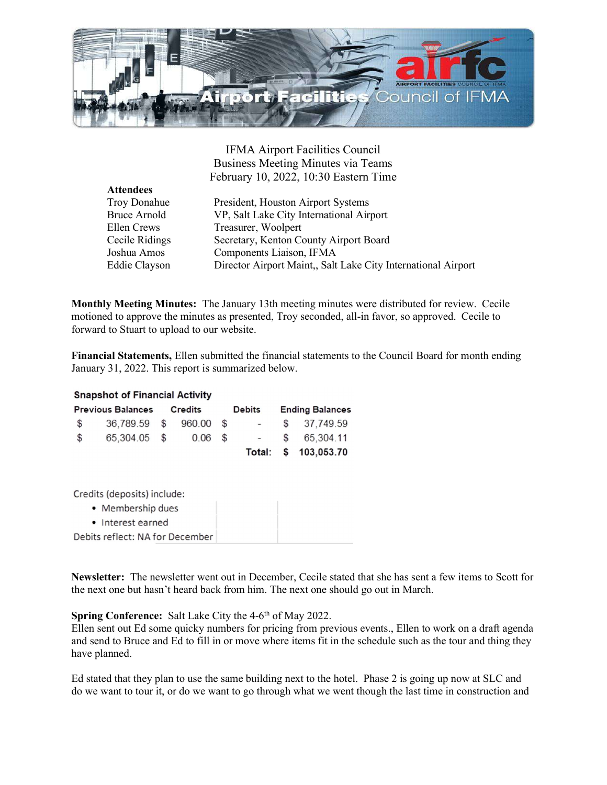

IFMA Airport Facilities Council Business Meeting Minutes via Teams February 10, 2022, 10:30 Eastern Time

| <b>Attendees</b>    |                                                               |
|---------------------|---------------------------------------------------------------|
| <b>Troy Donahue</b> | President, Houston Airport Systems                            |
| <b>Bruce Arnold</b> | VP, Salt Lake City International Airport                      |
| Ellen Crews         | Treasurer, Woolpert                                           |
| Cecile Ridings      | Secretary, Kenton County Airport Board                        |
| Joshua Amos         | Components Liaison, IFMA                                      |
| Eddie Clayson       | Director Airport Maint,, Salt Lake City International Airport |

Monthly Meeting Minutes: The January 13th meeting minutes were distributed for review. Cecile motioned to approve the minutes as presented, Troy seconded, all-in favor, so approved. Cecile to forward to Stuart to upload to our website.

Financial Statements, Ellen submitted the financial statements to the Council Board for month ending January 31, 2022. This report is summarized below.

## **Snapshot of Financial Activity**

| <b>Previous Balances</b> |                        | Credits |           | Debits |                           | <b>Ending Balances</b> |                      |
|--------------------------|------------------------|---------|-----------|--------|---------------------------|------------------------|----------------------|
| $\mathcal{S}$            | 36,789.59 \$ 960.00 \$ |         |           |        | $\sim 10^{-10}$ m $^{-1}$ |                        | \$37.749.59          |
| $\mathcal{S}$            | 65,304.05 \$           |         | $0.06$ \$ |        |                           |                        | $-$ \$ 65,304.11     |
|                          |                        |         |           |        |                           |                        | Total: \$ 103,053.70 |

Credits (deposits) include:

- Membership dues
- Interest earned

Debits reflect: NA for December

Newsletter: The newsletter went out in December, Cecile stated that she has sent a few items to Scott for the next one but hasn't heard back from him. The next one should go out in March.

## Spring Conference: Salt Lake City the 4-6<sup>th</sup> of May 2022.

Ellen sent out Ed some quicky numbers for pricing from previous events., Ellen to work on a draft agenda and send to Bruce and Ed to fill in or move where items fit in the schedule such as the tour and thing they have planned.

Ed stated that they plan to use the same building next to the hotel. Phase 2 is going up now at SLC and do we want to tour it, or do we want to go through what we went though the last time in construction and